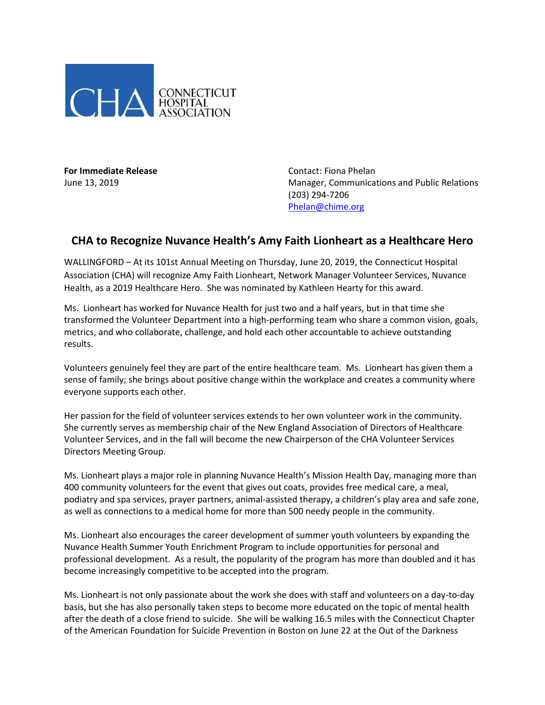

**For Immediate Release For Immediate Release Contact: Fiona Phelan** 

June 13, 2019 Manager, Communications and Public Relations (203) 294-7206 [Phelan@chime.org](mailto:Phelan@chime.org)

## **CHA to Recognize Nuvance Health's Amy Faith Lionheart as a Healthcare Hero**

WALLINGFORD – At its 101st Annual Meeting on Thursday, June 20, 2019, the Connecticut Hospital Association (CHA) will recognize Amy Faith Lionheart, Network Manager Volunteer Services, Nuvance Health, as a 2019 Healthcare Hero. She was nominated by Kathleen Hearty for this award.

Ms. Lionheart has worked for Nuvance Health for just two and a half years, but in that time she transformed the Volunteer Department into a high-performing team who share a common vision, goals, metrics, and who collaborate, challenge, and hold each other accountable to achieve outstanding results.

Volunteers genuinely feel they are part of the entire healthcare team. Ms. Lionheart has given them a sense of family; she brings about positive change within the workplace and creates a community where everyone supports each other.

Her passion for the field of volunteer services extends to her own volunteer work in the community. She currently serves as membership chair of the New England Association of Directors of Healthcare Volunteer Services, and in the fall will become the new Chairperson of the CHA Volunteer Services Directors Meeting Group.

Ms. Lionheart plays a major role in planning Nuvance Health's Mission Health Day, managing more than 400 community volunteers for the event that gives out coats, provides free medical care, a meal, podiatry and spa services, prayer partners, animal-assisted therapy, a children's play area and safe zone, as well as connections to a medical home for more than 500 needy people in the community.

Ms. Lionheart also encourages the career development of summer youth volunteers by expanding the Nuvance Health Summer Youth Enrichment Program to include opportunities for personal and professional development. As a result, the popularity of the program has more than doubled and it has become increasingly competitive to be accepted into the program.

Ms. Lionheart is not only passionate about the work she does with staff and volunteers on a day-to-day basis, but she has also personally taken steps to become more educated on the topic of mental health after the death of a close friend to suicide. She will be walking 16.5 miles with the Connecticut Chapter of the American Foundation for Suicide Prevention in Boston on June 22 at the Out of the Darkness